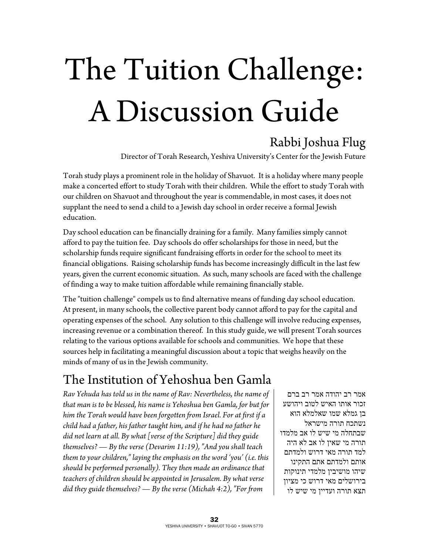# The Tuition Challenge: A Discussion Guide

## Rabbi Joshua Flug

Director of Torah Research, Yeshiva University's Center for the Jewish Future

Torah study plays a prominent role in the holiday of Shavuot. It is a holiday where many people make a concerted effort to study Torah with their children. While the effort to study Torah with our children on Shavuot and throughout the year is commendable, in most cases, it does not supplant the need to send a child to a Jewish day school in order receive a formal Jewish education.

Day school education can be financially draining for a family. Many families simply cannot afford to pay the tuition fee. Day schools do offer scholarships for those in need, but the scholarship funds require significant fundraising efforts in order for the school to meet its financial obligations. Raising scholarship funds has become increasingly difficult in the last few years, given the current economic situation. As such, many schools are faced with the challenge of finding a way to make tuition affordable while remaining financially stable.

The "tuition challenge" compels us to find alternative means of funding day school education. At present, in many schools, the collective parent body cannot afford to pay for the capital and operating expenses of the school. Any solution to this challenge will involve reducing expenses, increasing revenue or a combination thereof. In this study guide, we will present Torah sources relating to the various options available for schools and communities. We hope that these sources help in facilitating a meaningful discussion about a topic that weighs heavily on the minds of many of us in the Jewish community.

## The Institution of Yehoshua ben Gamla

*Rav Yehuda has told us in the name of Rav: Nevertheless, the name of that man is to be blessed, his name is Yehoshua ben Gamla, for but for him the Torah would have been forgotten from Israel. For at first if a child had a father, his father taught him, and if he had no father he did not learn at all. By what [verse of the Scripture] did they guide themselves? — By the verse (Devarim 11:19), "And you shall teach them to your children," laying the emphasis on the word 'you' (i.e. this should be performed personally). They then made an ordinance that teachers of children should be appointed in Jerusalem. By what verse did they guide themselves? — By the verse (Michah 4:2), "For from* 

אמר רב יהודה אמר רב ברם זכור אותו האיש לטוב ויהושע בן גמלא שמו שאלמלא הוא נשתכח תורה מישראל שבתחלה מי שיש לו אב מלמדו תורה מי שאין לו אב לא היה למד תורה מאי דרוש ולמדתם אותם ולמדתם אתם התקינו שיהו מושיבין מלמדי תינוקות בירושלים מאי דרוש כי מציון תצא תורה ועדיין מי שיש לו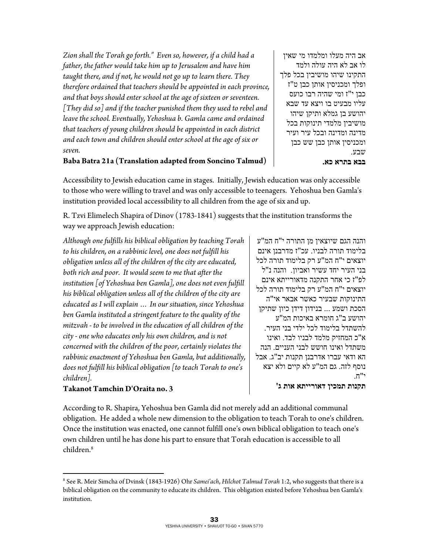*Zion shall the Torah go forth." Even so, however, if a child had a father, the father would take him up to Jerusalem and have him taught there, and if not, he would not go up to learn there. They therefore ordained that teachers should be appointed in each province, and that boys should enter school at the age of sixteen or seventeen. [They did so] and if the teacher punished them they used to rebel and leave the school. Eventually, Yehoshua b. Gamla came and ordained that teachers of young children should be appointed in each district and each town and children should enter school at the age of six or seven.* 

אב היה מעלו ומלמדו מי שאין לו אב לא היה עולה ולמד התקינו שיהו מושיבין בכל פלך ופלך ומכניסין אותן כבן ט"ז כבן י"ז ומי שהיה רבו כועס עליו מבעיט בו ויצא עד שבא יהושע בן גמלא ותיקן שיהו מושיבין מלמדי תינוקות בכל מדינה ומדינה ובכל עיר ועיר ומכניסין אותן כבן שש כבן שבע. **בבא בתרא כא.**

#### **Baba Batra 21a (Translation adapted from Soncino Talmud)**

Accessibility to Jewish education came in stages. Initially, Jewish education was only accessible to those who were willing to travel and was only accessible to teenagers. Yehoshua ben Gamla's institution provided local accessibility to all children from the age of six and up.

R. Tzvi Elimelech Shapira of Dinov (1783-1841) suggests that the institution transforms the way we approach Jewish education:

*Although one fulfills his biblical obligation by teaching Torah to his children, on a rabbinic level, one does not fulfill his obligation unless all of the children of the city are educated, both rich and poor. It would seem to me that after the institution [of Yehoshua ben Gamla], one does not even fulfill his biblical obligation unless all of the children of the city are educated as I will explain … In our situation, since Yehoshua ben Gamla instituted a stringent feature to the quality of the mitzvah - to be involved in the education of all children of the city - one who educates only his own children, and is not concerned with the children of the poor, certainly violates the rabbinic enactment of Yehoshua ben Gamla, but additionally, does not fulfill his biblical obligation [to teach Torah to one's children].* 

והנה הגם שיוצאין מן התורה י"ח המ"ע בלימוד תורה לבניו. עכ"ז מדרבנן אינם יוצאים י"ח המ"ע רק בלימוד תורה לכל בני העיר יחד עשיר ואביון. והנה נ"ל לפ"ז כי אחר התקנה מדאורייתא אינם יוצאים י"ח המ"ע רק בלימוד תורה לכל התינוקות שבעיר כאשר אבאר אי"ה הסכת ושמע ... בנידון דידן כיון שתיקן יהושע ב"ג חומרא באיכות המ"ע להשתדל בלימוד לכל ילדי בני העיר. א"כ המחזיק מלמד לבניו לבד. ואינו משתדל ואינו חושש לבני העניים. הנה הא ודאי עברו אדרבנן תקנות יב"ג. אבל נוסף לזה. גם המ"ע לא קיים ולא יצא  $\mathsf{\pi}$ 

#### **Takanot Tamchin D'Oraita no. 3**

 $\overline{a}$ 

**תקנות תמכין דאורייתא אות ג'** 

According to R. Shapira, Yehoshua ben Gamla did not merely add an additional communal obligation. He added a whole new dimension to the obligation to teach Torah to one's children. Once the institution was enacted, one cannot fulfill one's own biblical obligation to teach one's own children until he has done his part to ensure that Torah education is accessible to all children.8

<sup>8</sup> See R. Meir Simcha of Dvinsk (1843-1926) Ohr *Samei'ach*, *Hilchot Talmud Torah* 1:2, who suggests that there is a biblical obligation on the community to educate its children. This obligation existed before Yehoshua ben Gamla's institution.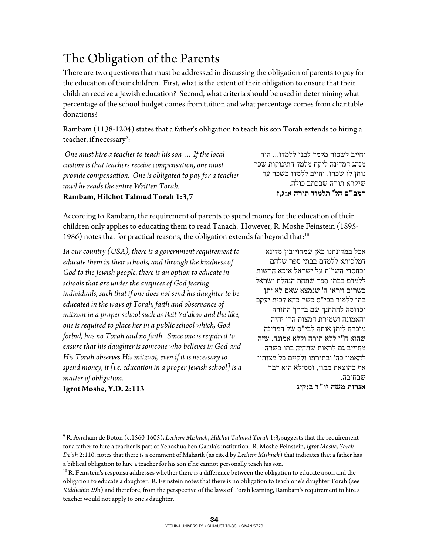## The Obligation of the Parents

There are two questions that must be addressed in discussing the obligation of parents to pay for the education of their children. First, what is the extent of their obligation to ensure that their children receive a Jewish education? Second, what criteria should be used in determining what percentage of the school budget comes from tuition and what percentage comes from charitable donations?

Rambam (1138-1204) states that a father's obligation to teach his son Torah extends to hiring a teacher, if necessary<sup>9</sup>:

 *One must hire a teacher to teach his son … If the local custom is that teachers receive compensation, one must provide compensation. One is obligated to pay for a teacher until he reads the entire Written Torah.* 

#### **Rambam, Hilchot Talmud Torah 1:3,7**

וחייב לשכור מלמד לבנו ללמדו... היה מנהג המדינה ליקח מלמד התינוקות שכר נותן לו שכרו. וחייב ללמדו בשכר עד שיקרא תורה שבכתב כולה. **רמב"ם הל' תלמוד תורה א:ג,ז** 

According to Rambam, the requirement of parents to spend money for the education of their children only applies to educating them to read Tanach. However, R. Moshe Feinstein (1895- 1986) notes that for practical reasons, the obligation extends far beyond that:<sup>10</sup>

*In our country (USA), there is a government requirement to educate them in their schools, and through the kindness of God to the Jewish people, there is an option to educate in schools that are under the auspices of God fearing individuals, such that if one does not send his daughter to be educated in the ways of Torah, faith and observance of mitzvot in a proper school such as Beit Ya'akov and the like, one is required to place her in a public school which, God forbid, has no Torah and no faith. Since one is required to ensure that his daughter is someone who believes in God and His Torah observes His mitzvot, even if it is necessary to spend money, it [i.e. education in a proper Jewish school] is a matter of obligation.* 

אבל במדינתנו כאן שמחוייבין מדינא דמלכותא ללמדם בבתי ספר שלהם ובחסדי השי"ת על ישראל איכא הרשות ללמדם בבתי ספר שתחת הנהלת ישראל כשרים ויראי ה' שנמצא שאם לא יתן בתו ללמוד בבי"ס כשר כהא דבית יעקב וכדומה להתחנך שם בדרך התורה והאמונה ושמירת המצות הרי יהיה מוכרח ליתן אותה לבי"ס של המדינה שהוא ח"ו ללא תורה וללא אמונה, שזה מחוייב גם לראות שתהיה בתו כשרה להאמין בה' ובתורתו ולקיים כל מצותיו אף בהוצאת ממון, וממילא הוא דבר שבחובה. **אגרות משה יו"ד ב:קיג**

**Igrot Moshe, Y.D. 2:113** 

 $\overline{a}$ 9 R. Avraham de Boton (c.1560-1605), *Lechem Mishneh*, *Hilchot Talmud Torah* 1:3, suggests that the requirement for a father to hire a teacher is part of Yehoshua ben Gamla's institution. R. Moshe Feinstein, *Igrot Moshe*, *Yoreh De'ah* 2:110, notes that there is a comment of Maharik (as cited by *Lechem Mishneh*) that indicates that a father has

a biblical obligation to hire a teacher for his son if he cannot personally teach his son.<br><sup>10</sup> R. Feinstein's responsa addresses whether there is a difference between the obligation to educate a son and the obligation to educate a daughter. R. Feinstein notes that there is no obligation to teach one's daughter Torah (see *Kiddushin* 29b) and therefore, from the perspective of the laws of Torah learning, Rambam's requirement to hire a teacher would not apply to one's daughter.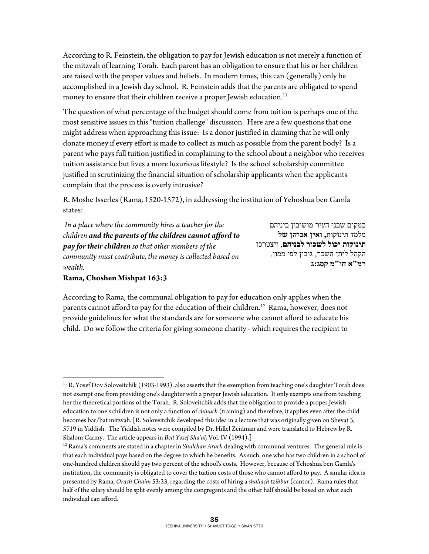According to R. Feinstein, the obligation to pay for Jewish education is not merely a function of the mitzvah of learning Torah. Each parent has an obligation to ensure that his or her children are raised with the proper values and beliefs. In modern times, this can (generally) only be accomplished in a Jewish day school. R. Feinstein adds that the parents are obligated to spend money to ensure that their children receive a proper Jewish education.<sup>11</sup>

The question of what percentage of the budget should come from tuition is perhaps one of the most sensitive issues in this "tuition challenge" discussion. Here are a few questions that one might address when approaching this issue: Is a donor justified in claiming that he will only donate money if every effort is made to collect as much as possible from the parent body? Is a parent who pays full tuition justified in complaining to the school about a neighbor who receives tuition assistance but lives a more luxurious lifestyle? Is the school scholarship committee justified in scrutinizing the financial situation of scholarship applicants when the applicants complain that the process is overly intrusive?

R. Moshe Isserles (Rama, 1520-1572), in addressing the institution of Yehoshua ben Gamla states:

 *In a place where the community hires a teacher for the children and the parents of the children cannot afford to pay for their children so that other members of the community must contribute, the money is collected based on wealth.* 

**Rama, Choshen Mishpat 163:3** 

במקום שבני העיר מושיבין ביניהם מלמד תינוקות**, ואין אביהן של תינוקות יכול לשכור לבניהם**, ויצטרכו הקהל ליתן השכר, גובין לפי ממון. **רמ"א חו"מ קסג:ג** 

According to Rama, the communal obligation to pay for education only applies when the parents cannot afford to pay for the education of their children.<sup>12</sup> Rama, however, does not provide guidelines for what the standards are for someone who cannot afford to educate his child. Do we follow the criteria for giving someone charity - which requires the recipient to

 $\overline{a}$  $11$  R. Yosef Dov Soloveitchik (1903-1993), also asserts that the exemption from teaching one's daughter Torah does not exempt one from providing one's daughter with a proper Jewish education. It only exempts one from teaching her the theoretical portions of the Torah. R. Soloveitchik adds that the obligation to provide a proper Jewish education to one's children is not only a function of *chinuch* (training) and therefore, it applies even after the child becomes bar/bat mitzvah. [R. Soloveitchik developed this idea in a lecture that was originally given on Shevat 3, 5719 in Yiddish. The Yiddish notes were compiled by Dr. Hillel Zeidman and were translated to Hebrew by R.

Shalom Carmy. The article appears in *Beit Yosef Sha'ul*, Vol. IV (1994).]<br><sup>12</sup> Rama's comments are stated in a chapter in *Shulchan Aruch* dealing with communal ventures. The general rule is that each individual pays based on the degree to which he benefits. As such, one who has two children in a school of one-hundred children should pay two percent of the school's costs. However, because of Yehoshua ben Gamla's institution, the community is obligated to cover the tuition costs of those who cannot afford to pay. A similar idea is presented by Rama, *Orach Chaim* 53:23, regarding the costs of hiring a *shaliach tzibbur* (cantor). Rama rules that half of the salary should be split evenly among the congregants and the other half should be based on what each individual can afford.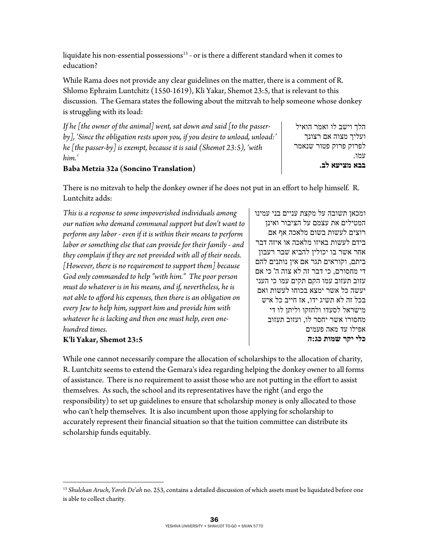liquidate his non-essential possessions $13$  - or is there a different standard when it comes to education?

While Rama does not provide any clear guidelines on the matter, there is a comment of R. Shlomo Ephraim Luntchitz (1550-1619), Kli Yakar, Shemot 23:5, that is relevant to this discussion. The Gemara states the following about the mitzvah to help someone whose donkey is struggling with its load:

*If he [the owner of the animal] went, sat down and said [to the passerby], 'Since the obligation rests upon you, if you desire to unload, unload:' he [the passer-by] is exempt, because it is said (Shemot 23:5), 'with him.'* 

הלך וישב לו ואמר הואיל ועליך מצוה אם רצונך לפרוק פרוק פטור שנאמר עמו. **בבא מציעא לב.** 

#### **Baba Metzia 32a (Soncino Translation)**

There is no mitzvah to help the donkey owner if he does not put in an effort to help himself. R. Luntchitz adds:

*This is a response to some impoverished individuals among our nation who demand communal support but don't want to perform any labor - even if it is within their means to perform labor or something else that can provide for their family - and they complain if they are not provided with all of their needs. [However, there is no requirement to support them] because God only commanded to help "with him." The poor person must do whatever is in his means, and if, nevertheless, he is not able to afford his expenses, then there is an obligation on every Jew to help him, support him and provide him with whatever he is lacking and then one must help, even onehundred times.* 

#### **K'li Yakar, Shemot 23:5**

 $\overline{a}$ 

ומכאן תשובה על מקצת עניים בני עמינו המטילים את עצמם על הציבור ואינן רוצים לעשות בשום מלאכה אף אם בידם לעשות באיזו מלאכה או איזה דבר אחר אשר בו יכולין להביא שבר רעבון ביתם, וקוראים תגר אם אין נותנים להם די מחסורם, כי דבר זה לא צוה ה' כי אם עזוב תעזוב עמו הקם תקים עמו כי העני יעשה כל אשר ימצא בכוחו לעשות ואם בכל זה לא תשיג ידו, אז חייב כל איש מישראל לסעדו ולחזקו וליתן לו די מחסורו אשר יחסר לו, ועזוב תעזוב אפילו עד מאה פעמים **כלי יקר שמות כג:ה**

While one cannot necessarily compare the allocation of scholarships to the allocation of charity, R. Luntchitz seems to extend the Gemara's idea regarding helping the donkey owner to all forms of assistance. There is no requirement to assist those who are not putting in the effort to assist themselves. As such, the school and its representatives have the right (and ergo the responsibility) to set up guidelines to ensure that scholarship money is only allocated to those who can't help themselves. It is also incumbent upon those applying for scholarship to accurately represent their financial situation so that the tuition committee can distribute its scholarship funds equitably.

<sup>13</sup> *Shulchan Aruch*, *Yoreh De'ah* no. 253, contains a detailed discussion of which assets must be liquidated before one is able to collect charity.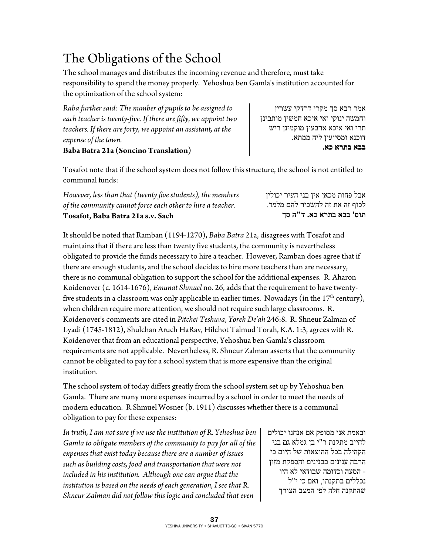## The Obligations of the School

The school manages and distributes the incoming revenue and therefore, must take responsibility to spend the money properly. Yehoshua ben Gamla's institution accounted for the optimization of the school system:

*Raba further said: The number of pupils to be assigned to each teacher is twenty-five. If there are fifty, we appoint two teachers. If there are forty, we appoint an assistant, at the expense of the town.* 

#### **Baba Batra 21a (Soncino Translation)**

Tosafot note that if the school system does not follow this structure, the school is not entitled to communal funds:

*However, less than that (twenty five students), the members of the community cannot force each other to hire a teacher.*  **Tosafot, Baba Batra 21a s.v. Sach** 

אבל פחות מכאן אין בני העיר יכולין לכוף זה את זה להשכיר להם מלמד. **תוס' בבא בתרא כא. ד"ה סך**

It should be noted that Ramban (1194-1270), *Baba Batra* 21a, disagrees with Tosafot and maintains that if there are less than twenty five students, the community is nevertheless obligated to provide the funds necessary to hire a teacher. However, Ramban does agree that if there are enough students, and the school decides to hire more teachers than are necessary, there is no communal obligation to support the school for the additional expenses. R. Aharon Koidenover (c. 1614-1676), *Emunat Shmuel* no. 26, adds that the requirement to have twentyfive students in a classroom was only applicable in earlier times. Nowadays (in the  $17<sup>th</sup>$  century), when children require more attention, we should not require such large classrooms. R. Koidenover's comments are cited in *Pitchei Teshuva*, *Yoreh De'ah* 246:8. R. Shneur Zalman of Lyadi (1745-1812), Shulchan Aruch HaRav, Hilchot Talmud Torah, K.A. 1:3, agrees with R. Koidenover that from an educational perspective, Yehoshua ben Gamla's classroom requirements are not applicable. Nevertheless, R. Shneur Zalman asserts that the community cannot be obligated to pay for a school system that is more expensive than the original institution.

The school system of today differs greatly from the school system set up by Yehoshua ben Gamla. There are many more expenses incurred by a school in order to meet the needs of modern education. R Shmuel Wosner (b. 1911) discusses whether there is a communal obligation to pay for these expenses:

*In truth, I am not sure if we use the institution of R. Yehoshua ben Gamla to obligate members of the community to pay for all of the expenses that exist today because there are a number of issues such as building costs, food and transportation that were not included in his institution. Although one can argue that the institution is based on the needs of each generation, I see that R. Shneur Zalman did not follow this logic and concluded that even* 

ובאמת אני מסופק אם אנחנו יכולים לחייב מתקנת ר"י בן גמלא גם בני הקהילה בכל ההוצאות של היום כי הרבה ענינים בבנינים והספקת מזון - הסעה וכדומה שבודאי לא היו נכללים בתקנתו, ואם כי י"ל שהתקנה חלה לפי המצב הצורך

תרי ואי איכא ארבעין מוקמינן ריש דוכנא ומסייעין ליה ממתא. **בבא בתרא כא.** 

אמר רבא סך מקרי דרדקי עשרין וחמשה ינוקי ואי איכא חמשין מותבינן